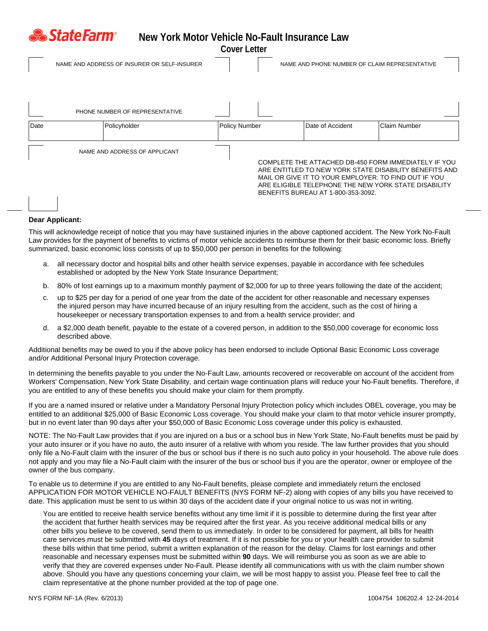| <b>&amp; StateFarm®</b><br>New York Motor Vehicle No-Fault Insurance Law<br><b>Cover Letter</b> |                                |                                             |                                                                                                                                                                                                                                                                      |                                               |                     |
|-------------------------------------------------------------------------------------------------|--------------------------------|---------------------------------------------|----------------------------------------------------------------------------------------------------------------------------------------------------------------------------------------------------------------------------------------------------------------------|-----------------------------------------------|---------------------|
|                                                                                                 |                                | NAME AND ADDRESS OF INSURER OR SELF-INSURER |                                                                                                                                                                                                                                                                      | NAME AND PHONE NUMBER OF CLAIM REPRESENTATIVE |                     |
|                                                                                                 | PHONE NUMBER OF REPRESENTATIVE |                                             |                                                                                                                                                                                                                                                                      |                                               |                     |
| Date                                                                                            |                                | Policyholder                                | Policy Number                                                                                                                                                                                                                                                        | Date of Accident                              | <b>Claim Number</b> |
|                                                                                                 | NAME AND ADDRESS OF APPLICANT  |                                             | COMPLETE THE ATTACHED DB-450 FORM IMMEDIATELY IF YOU<br>ARE ENTITLED TO NEW YORK STATE DISABILITY BENEFITS AND<br>MAIL OR GIVE IT TO YOUR EMPLOYER. TO FIND OUT IF YOU<br>ARE ELIGIBLE TELEPHONE THE NEW YORK STATE DISABILITY<br>BENEFITS BUREAU AT 1-800-353-3092. |                                               |                     |

## **Dear Applicant:**

This will acknowledge receipt of notice that you may have sustained injuries in the above captioned accident. The New York No-Fault Law provides for the payment of benefits to victims of motor vehicle accidents to reimburse them for their basic economic loss. Briefly summarized, basic economic loss consists of up to \$50,000 per person in benefits for the following:

- a. all necessary doctor and hospital bills and other health service expenses, payable in accordance with fee schedules established or adopted by the New York State Insurance Department;
- b. 80% of lost earnings up to a maximum monthly payment of \$2,000 for up to three years following the date of the accident;
- c. up to \$25 per day for a period of one year from the date of the accident for other reasonable and necessary expenses the injured person may have incurred because of an injury resulting from the accident, such as the cost of hiring a housekeeper or necessary transportation expenses to and from a health service provider; and
- d. a \$2,000 death benefit, payable to the estate of a covered person, in addition to the \$50,000 coverage for economic loss described above.

Additional benefits may be owed to you if the above policy has been endorsed to include Optional Basic Economic Loss coverage and/or Additional Personal Injury Protection coverage.

In determining the benefits payable to you under the No-Fault Law, amounts recovered or recoverable on account of the accident from Workers' Compensation, New York State Disability, and certain wage continuation plans will reduce your No-Fault benefits. Therefore, if you are entitled to any of these benefits you should make your claim for them promptly.

If you are a named insured or relative under a Mandatory Personal Injury Protection policy which includes OBEL coverage, you may be entitled to an additional \$25,000 of Basic Economic Loss coverage. You should make your claim to that motor vehicle insurer promptly, but in no event later than 90 days after your \$50,000 of Basic Economic Loss coverage under this policy is exhausted.

NOTE: The No-Fault Law provides that if you are injured on a bus or a school bus in New York State, No-Fault benefits must be paid by your auto insurer or if you have no auto, the auto insurer of a relative with whom you reside. The law further provides that you should only file a No-Fault claim with the insurer of the bus or school bus if there is no such auto policy in your household. The above rule does not apply and you may file a No-Fault claim with the insurer of the bus or school bus if you are the operator, owner or employee of the owner of the bus company.

To enable us to determine if you are entitled to any No-Fault benefits, please complete and immediately return the enclosed APPLICATION FOR MOTOR VEHICLE NO-FAULT BENEFITS (NYS FORM NF-2) along with copies of any bills you have received to date. This application must be sent to us within 30 days of the accident date if your original notice to us was not in writing.

You are entitled to receive health service benefits without any time limit if it is possible to determine during the first year after the accident that further health services may be required after the first year. As you receive additional medical bills or any other bills you believe to be covered, send them to us immediately. In order to be considered for payment, all bills for health care services must be submitted with 45 days of treatment. If it is not possible for you or your health care provider to submit these bills within that time period, submit a written explanation of the reason for the delay. Claims for lost earnings and other reasonable and necessary expenses must be submitted within 90 days. We will reimburse you as soon as we are able to verify that they are covered expenses under No-Fault. Please identify all communications with us with the claim number shown above. Should you have any questions concerning your claim, we will be most happy to assist you. Please feel free to call the claim representative at the phone number provided at the top of page one.